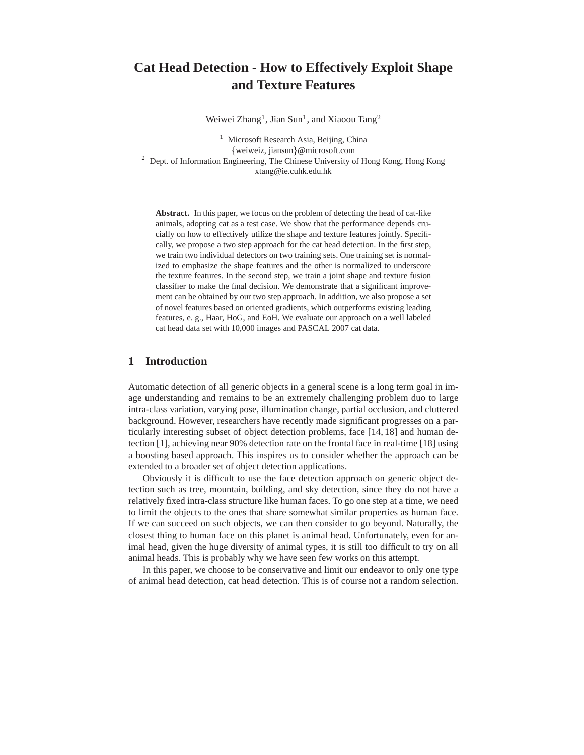# **Cat Head Detection - How to Effectively Exploit Shape and Texture Features**

Weiwei Zhang<sup>1</sup>, Jian Sun<sup>1</sup>, and Xiaoou Tang<sup>2</sup>

<sup>1</sup> Microsoft Research Asia, Beijing, China {weiweiz, jiansun}@microsoft.com  $2$  Dept. of Information Engineering, The Chinese University of Hong Kong, Hong Kong xtang@ie.cuhk.edu.hk

**Abstract.** In this paper, we focus on the problem of detecting the head of cat-like animals, adopting cat as a test case. We show that the performance depends crucially on how to effectively utilize the shape and texture features jointly. Specifically, we propose a two step approach for the cat head detection. In the first step, we train two individual detectors on two training sets. One training set is normalized to emphasize the shape features and the other is normalized to underscore the texture features. In the second step, we train a joint shape and texture fusion classifier to make the final decision. We demonstrate that a significant improvement can be obtained by our two step approach. In addition, we also propose a set of novel features based on oriented gradients, which outperforms existing leading features, e. g., Haar, HoG, and EoH. We evaluate our approach on a well labeled cat head data set with 10,000 images and PASCAL 2007 cat data.

# **1 Introduction**

Automatic detection of all generic objects in a general scene is a long term goal in image understanding and remains to be an extremely challenging problem duo to large intra-class variation, varying pose, illumination change, partial occlusion, and cluttered background. However, researchers have recently made significant progresses on a particularly interesting subset of object detection problems, face [14, 18] and human detection [1], achieving near 90% detection rate on the frontal face in real-time [18] using a boosting based approach. This inspires us to consider whether the approach can be extended to a broader set of object detection applications.

Obviously it is difficult to use the face detection approach on generic object detection such as tree, mountain, building, and sky detection, since they do not have a relatively fixed intra-class structure like human faces. To go one step at a time, we need to limit the objects to the ones that share somewhat similar properties as human face. If we can succeed on such objects, we can then consider to go beyond. Naturally, the closest thing to human face on this planet is animal head. Unfortunately, even for animal head, given the huge diversity of animal types, it is still too difficult to try on all animal heads. This is probably why we have seen few works on this attempt.

In this paper, we choose to be conservative and limit our endeavor to only one type of animal head detection, cat head detection. This is of course not a random selection.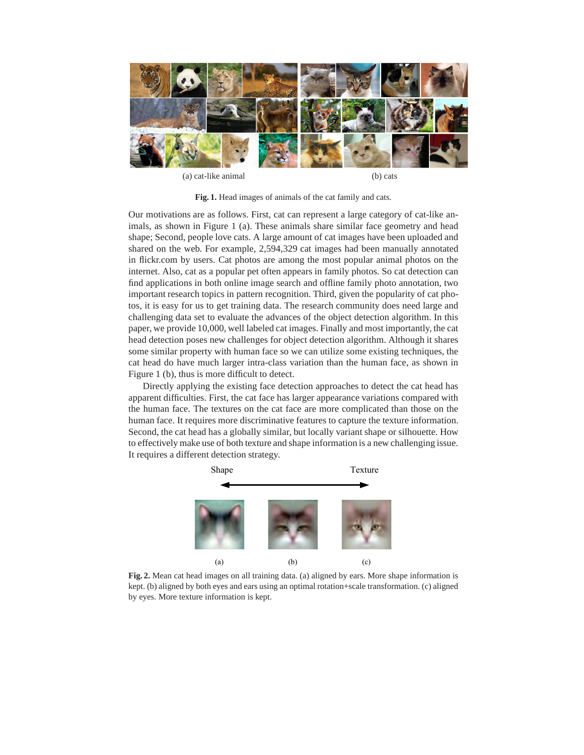

(a) cat-like animal (b) cats

**Fig. 1.** Head images of animals of the cat family and cats.

Our motivations are as follows. First, cat can represent a large category of cat-like animals, as shown in Figure 1 (a). These animals share similar face geometry and head shape; Second, people love cats. A large amount of cat images have been uploaded and shared on the web. For example, 2,594,329 cat images had been manually annotated in flickr.com by users. Cat photos are among the most popular animal photos on the internet. Also, cat as a popular pet often appears in family photos. So cat detection can find applications in both online image search and offline family photo annotation, two important research topics in pattern recognition. Third, given the popularity of cat photos, it is easy for us to get training data. The research community does need large and challenging data set to evaluate the advances of the object detection algorithm. In this paper, we provide 10,000, well labeled cat images. Finally and most importantly, the cat head detection poses new challenges for object detection algorithm. Although it shares some similar property with human face so we can utilize some existing techniques, the cat head do have much larger intra-class variation than the human face, as shown in Figure 1 (b), thus is more difficult to detect.

Directly applying the existing face detection approaches to detect the cat head has apparent difficulties. First, the cat face has larger appearance variations compared with the human face. The textures on the cat face are more complicated than those on the human face. It requires more discriminative features to capture the texture information. Second, the cat head has a globally similar, but locally variant shape or silhouette. How to effectively make use of both texture and shape information is a new challenging issue. It requires a different detection strategy.



**Fig. 2.** Mean cat head images on all training data. (a) aligned by ears. More shape information is kept. (b) aligned by both eyes and ears using an optimal rotation+scale transformation. (c) aligned by eyes. More texture information is kept.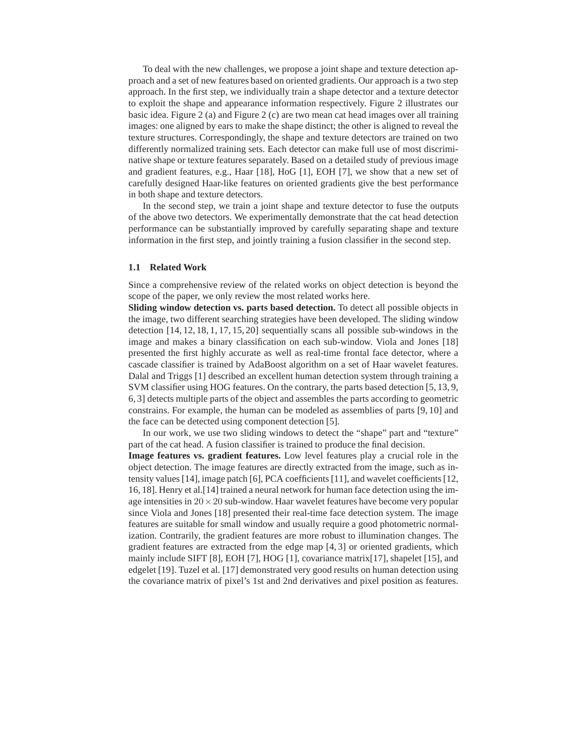To deal with the new challenges, we propose a joint shape and texture detection approach and a set of new features based on oriented gradients. Our approach is a two step approach. In the first step, we individually train a shape detector and a texture detector to exploit the shape and appearance information respectively. Figure 2 illustrates our basic idea. Figure 2 (a) and Figure 2 (c) are two mean cat head images over all training images: one aligned by ears to make the shape distinct; the other is aligned to reveal the texture structures. Correspondingly, the shape and texture detectors are trained on two differently normalized training sets. Each detector can make full use of most discriminative shape or texture features separately. Based on a detailed study of previous image and gradient features, e.g., Haar [18], HoG [1], EOH [7], we show that a new set of carefully designed Haar-like features on oriented gradients give the best performance in both shape and texture detectors.

In the second step, we train a joint shape and texture detector to fuse the outputs of the above two detectors. We experimentally demonstrate that the cat head detection performance can be substantially improved by carefully separating shape and texture information in the first step, and jointly training a fusion classifier in the second step.

## **1.1 Related Work**

Since a comprehensive review of the related works on object detection is beyond the scope of the paper, we only review the most related works here.

**Sliding window detection vs. parts based detection.** To detect all possible objects in the image, two different searching strategies have been developed. The sliding window detection [14, 12, 18, 1, 17, 15, 20] sequentially scans all possible sub-windows in the image and makes a binary classification on each sub-window. Viola and Jones [18] presented the first highly accurate as well as real-time frontal face detector, where a cascade classifier is trained by AdaBoost algorithm on a set of Haar wavelet features. Dalal and Triggs [1] described an excellent human detection system through training a SVM classifier using HOG features. On the contrary, the parts based detection [5, 13, 9, 6, 3] detects multiple parts of the object and assembles the parts according to geometric constrains. For example, the human can be modeled as assemblies of parts [9, 10] and the face can be detected using component detection [5].

In our work, we use two sliding windows to detect the "shape" part and "texture" part of the cat head. A fusion classifier is trained to produce the final decision.

**Image features vs. gradient features.** Low level features play a crucial role in the object detection. The image features are directly extracted from the image, such as intensity values [14], image patch [6], PCA coefficients [11], and wavelet coefficients [12, 16, 18]. Henry et al.[14] trained a neural network for human face detection using the image intensities in  $20 \times 20$  sub-window. Haar wavelet features have become very popular since Viola and Jones [18] presented their real-time face detection system. The image features are suitable for small window and usually require a good photometric normalization. Contrarily, the gradient features are more robust to illumination changes. The gradient features are extracted from the edge map [4, 3] or oriented gradients, which mainly include SIFT [8], EOH [7], HOG [1], covariance matrix[17], shapelet [15], and edgelet [19]. Tuzel et al. [17] demonstrated very good results on human detection using the covariance matrix of pixel's 1st and 2nd derivatives and pixel position as features.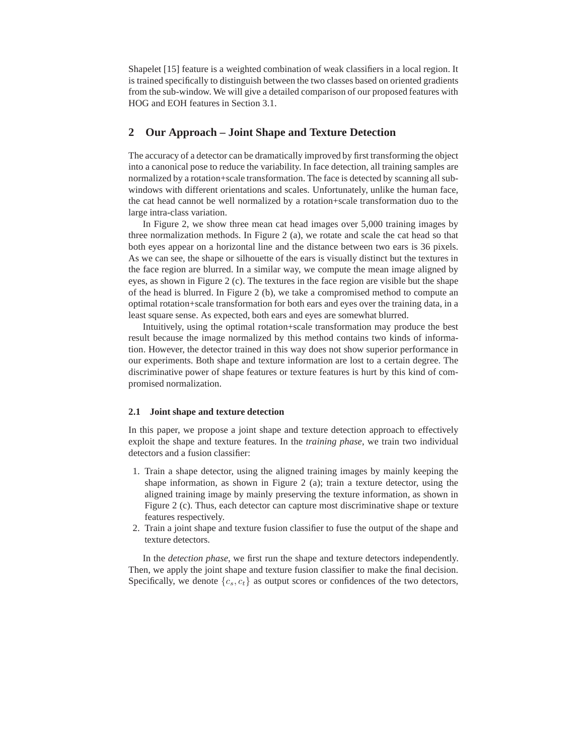Shapelet [15] feature is a weighted combination of weak classifiers in a local region. It is trained specifically to distinguish between the two classes based on oriented gradients from the sub-window. We will give a detailed comparison of our proposed features with HOG and EOH features in Section 3.1.

## **2 Our Approach – Joint Shape and Texture Detection**

The accuracy of a detector can be dramatically improved by first transforming the object into a canonical pose to reduce the variability. In face detection, all training samples are normalized by a rotation+scale transformation. The face is detected by scanning all subwindows with different orientations and scales. Unfortunately, unlike the human face, the cat head cannot be well normalized by a rotation+scale transformation duo to the large intra-class variation.

In Figure 2, we show three mean cat head images over 5,000 training images by three normalization methods. In Figure 2 (a), we rotate and scale the cat head so that both eyes appear on a horizontal line and the distance between two ears is 36 pixels. As we can see, the shape or silhouette of the ears is visually distinct but the textures in the face region are blurred. In a similar way, we compute the mean image aligned by eyes, as shown in Figure 2 (c). The textures in the face region are visible but the shape of the head is blurred. In Figure 2 (b), we take a compromised method to compute an optimal rotation+scale transformation for both ears and eyes over the training data, in a least square sense. As expected, both ears and eyes are somewhat blurred.

Intuitively, using the optimal rotation+scale transformation may produce the best result because the image normalized by this method contains two kinds of information. However, the detector trained in this way does not show superior performance in our experiments. Both shape and texture information are lost to a certain degree. The discriminative power of shape features or texture features is hurt by this kind of compromised normalization.

## **2.1 Joint shape and texture detection**

In this paper, we propose a joint shape and texture detection approach to effectively exploit the shape and texture features. In the *training phase*, we train two individual detectors and a fusion classifier:

- 1. Train a shape detector, using the aligned training images by mainly keeping the shape information, as shown in Figure 2 (a); train a texture detector, using the aligned training image by mainly preserving the texture information, as shown in Figure 2 (c). Thus, each detector can capture most discriminative shape or texture features respectively.
- 2. Train a joint shape and texture fusion classifier to fuse the output of the shape and texture detectors.

In the *detection phase*, we first run the shape and texture detectors independently. Then, we apply the joint shape and texture fusion classifier to make the final decision. Specifically, we denote  $\{c_s, c_t\}$  as output scores or confidences of the two detectors,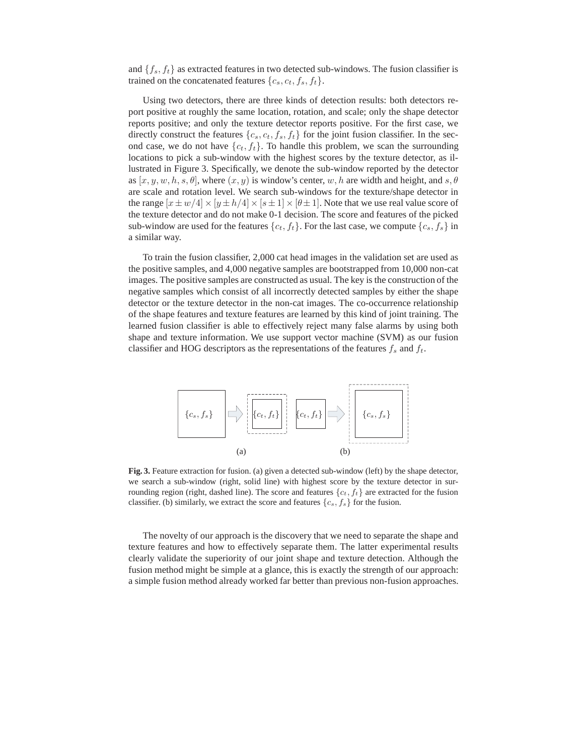and  $\{f_s, f_t\}$  as extracted features in two detected sub-windows. The fusion classifier is trained on the concatenated features  $\{c_s, c_t, f_s, f_t\}.$ 

Using two detectors, there are three kinds of detection results: both detectors report positive at roughly the same location, rotation, and scale; only the shape detector reports positive; and only the texture detector reports positive. For the first case, we directly construct the features  $\{c_s, c_t, f_s, f_t\}$  for the joint fusion classifier. In the second case, we do not have  $\{c_t, f_t\}$ . To handle this problem, we scan the surrounding locations to pick a sub-window with the highest scores by the texture detector, as illustrated in Figure 3. Specifically, we denote the sub-window reported by the detector as  $[x, y, w, h, s, \theta]$ , where  $(x, y)$  is window's center, w, h are width and height, and  $s, \theta$ are scale and rotation level. We search sub-windows for the texture/shape detector in the range  $[x \pm w/4] \times [y \pm h/4] \times [s \pm 1] \times [\theta \pm 1]$ . Note that we use real value score of the texture detector and do not make 0-1 decision. The score and features of the picked sub-window are used for the features  $\{c_t, f_t\}$ . For the last case, we compute  $\{c_s, f_s\}$  in a similar way.

To train the fusion classifier, 2,000 cat head images in the validation set are used as the positive samples, and 4,000 negative samples are bootstrapped from 10,000 non-cat images. The positive samples are constructed as usual. The key is the construction of the negative samples which consist of all incorrectly detected samples by either the shape detector or the texture detector in the non-cat images. The co-occurrence relationship of the shape features and texture features are learned by this kind of joint training. The learned fusion classifier is able to effectively reject many false alarms by using both shape and texture information. We use support vector machine (SVM) as our fusion classifier and HOG descriptors as the representations of the features  $f_s$  and  $f_t$ .



**Fig. 3.** Feature extraction for fusion. (a) given a detected sub-window (left) by the shape detector, we search a sub-window (right, solid line) with highest score by the texture detector in surrounding region (right, dashed line). The score and features  $\{c_t, f_t\}$  are extracted for the fusion classifier. (b) similarly, we extract the score and features  $\{c_s, f_s\}$  for the fusion.

The novelty of our approach is the discovery that we need to separate the shape and texture features and how to effectively separate them. The latter experimental results clearly validate the superiority of our joint shape and texture detection. Although the fusion method might be simple at a glance, this is exactly the strength of our approach: a simple fusion method already worked far better than previous non-fusion approaches.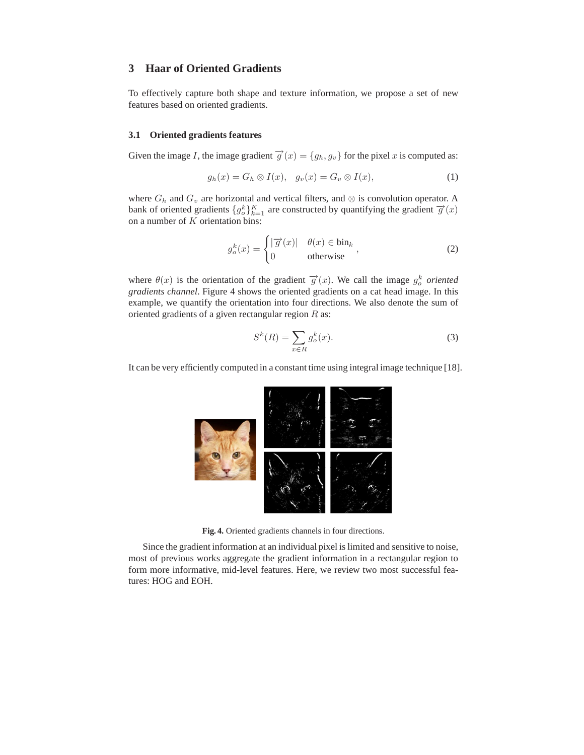## **3 Haar of Oriented Gradients**

To effectively capture both shape and texture information, we propose a set of new features based on oriented gradients.

#### **3.1 Oriented gradients features**

Given the image I, the image gradient  $\vec{g}(x) = \{g_h, g_v\}$  for the pixel x is computed as:

$$
g_h(x) = G_h \otimes I(x), \quad g_v(x) = G_v \otimes I(x), \tag{1}
$$

where  $G_h$  and  $G_v$  are horizontal and vertical filters, and ⊗ is convolution operator. A bank of oriented gradients  $\{g_o^k\}_{k=1}^K$  are constructed by quantifying the gradient  $\overrightarrow{g}(x)$ on a number of  $K$  orientation bins:

$$
g_o^k(x) = \begin{cases} |\overrightarrow{g}(x)| & \theta(x) \in \text{bin}_k \\ 0 & \text{otherwise} \end{cases},
$$
 (2)

where  $\theta(x)$  is the orientation of the gradient  $\vec{g}(x)$ . We call the image  $g_o^k$  oriented *gradients channel*. Figure 4 shows the oriented gradients on a cat head image. In this example, we quantify the orientation into four directions. We also denote the sum of oriented gradients of a given rectangular region  $R$  as:

$$
S^k(R) = \sum_{x \in R} g_o^k(x). \tag{3}
$$

It can be very efficiently computed in a constant time using integral image technique [18].



**Fig. 4.** Oriented gradients channels in four directions.

Since the gradient information at an individual pixel is limited and sensitive to noise, most of previous works aggregate the gradient information in a rectangular region to form more informative, mid-level features. Here, we review two most successful features: HOG and EOH.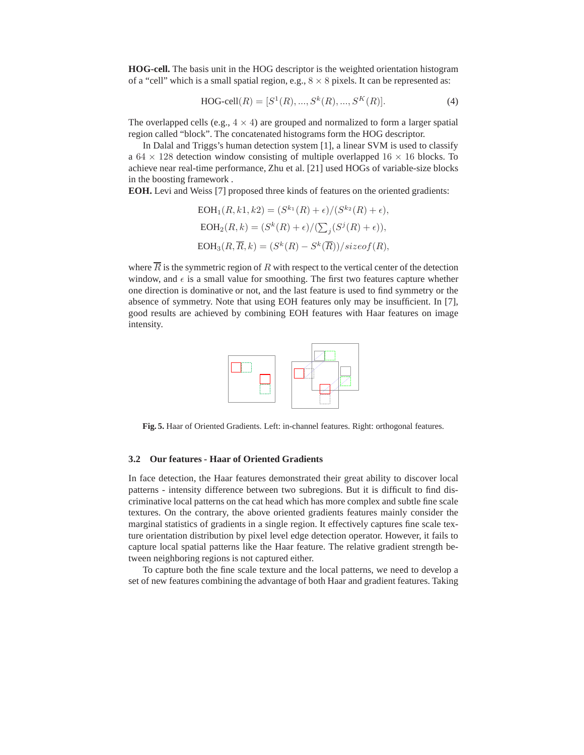**HOG-cell.** The basis unit in the HOG descriptor is the weighted orientation histogram of a "cell" which is a small spatial region, e.g.,  $8 \times 8$  pixels. It can be represented as:

$$
HOG-cell(R) = [S1(R), ..., Sk(R), ..., SK(R)].
$$
\n(4)

The overlapped cells (e.g.,  $4 \times 4$ ) are grouped and normalized to form a larger spatial region called "block". The concatenated histograms form the HOG descriptor.

In Dalal and Triggs's human detection system [1], a linear SVM is used to classify a  $64 \times 128$  detection window consisting of multiple overlapped  $16 \times 16$  blocks. To achieve near real-time performance, Zhu et al. [21] used HOGs of variable-size blocks in the boosting framework .

**EOH.** Levi and Weiss [7] proposed three kinds of features on the oriented gradients:

$$
EOH1(R, k1, k2) = (Sk1(R) + \epsilon)/(Sk2(R) + \epsilon),
$$
  
\n
$$
EOH2(R, k) = (Sk(R) + \epsilon)/(\sum_{j}(Sj(R) + \epsilon)),
$$
  
\n
$$
EOH3(R, \overline{R}, k) = (Sk(R) - Sk(\overline{R}))/sizeof(R),
$$

where  $\overline{R}$  is the symmetric region of R with respect to the vertical center of the detection window, and  $\epsilon$  is a small value for smoothing. The first two features capture whether one direction is dominative or not, and the last feature is used to find symmetry or the absence of symmetry. Note that using EOH features only may be insufficient. In [7], good results are achieved by combining EOH features with Haar features on image intensity.



**Fig. 5.** Haar of Oriented Gradients. Left: in-channel features. Right: orthogonal features.

## **3.2 Our features - Haar of Oriented Gradients**

In face detection, the Haar features demonstrated their great ability to discover local patterns - intensity difference between two subregions. But it is difficult to find discriminative local patterns on the cat head which has more complex and subtle fine scale textures. On the contrary, the above oriented gradients features mainly consider the marginal statistics of gradients in a single region. It effectively captures fine scale texture orientation distribution by pixel level edge detection operator. However, it fails to capture local spatial patterns like the Haar feature. The relative gradient strength between neighboring regions is not captured either.

To capture both the fine scale texture and the local patterns, we need to develop a set of new features combining the advantage of both Haar and gradient features. Taking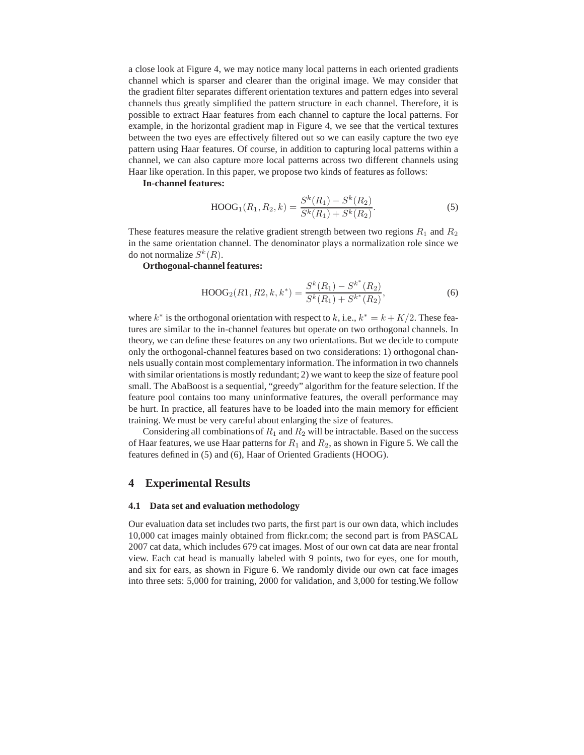a close look at Figure 4, we may notice many local patterns in each oriented gradients channel which is sparser and clearer than the original image. We may consider that the gradient filter separates different orientation textures and pattern edges into several channels thus greatly simplified the pattern structure in each channel. Therefore, it is possible to extract Haar features from each channel to capture the local patterns. For example, in the horizontal gradient map in Figure 4, we see that the vertical textures between the two eyes are effectively filtered out so we can easily capture the two eye pattern using Haar features. Of course, in addition to capturing local patterns within a channel, we can also capture more local patterns across two different channels using Haar like operation. In this paper, we propose two kinds of features as follows:

**In-channel features:**

$$
HOOG1(R1, R2, k) = \frac{Sk(R1) - Sk(R2)}{Sk(R1) + Sk(R2)}.
$$
\n(5)

These features measure the relative gradient strength between two regions  $R_1$  and  $R_2$ in the same orientation channel. The denominator plays a normalization role since we do not normalize  $S^k(R)$ .

**Orthogonal-channel features:**

$$
HOOG2(R1, R2, k, k^*) = \frac{S^k(R_1) - S^{k^*}(R_2)}{S^k(R_1) + S^{k^*}(R_2)},
$$
\n(6)

where  $k^*$  is the orthogonal orientation with respect to k, i.e.,  $k^* = k + K/2$ . These features are similar to the in-channel features but operate on two orthogonal channels. In theory, we can define these features on any two orientations. But we decide to compute only the orthogonal-channel features based on two considerations: 1) orthogonal channels usually contain most complementary information. The information in two channels with similar orientations is mostly redundant; 2) we want to keep the size of feature pool small. The AbaBoost is a sequential, "greedy" algorithm for the feature selection. If the feature pool contains too many uninformative features, the overall performance may be hurt. In practice, all features have to be loaded into the main memory for efficient training. We must be very careful about enlarging the size of features.

Considering all combinations of  $R_1$  and  $R_2$  will be intractable. Based on the success of Haar features, we use Haar patterns for  $R_1$  and  $R_2$ , as shown in Figure 5. We call the features defined in (5) and (6), Haar of Oriented Gradients (HOOG).

## **4 Experimental Results**

#### **4.1 Data set and evaluation methodology**

Our evaluation data set includes two parts, the first part is our own data, which includes 10,000 cat images mainly obtained from flickr.com; the second part is from PASCAL 2007 cat data, which includes 679 cat images. Most of our own cat data are near frontal view. Each cat head is manually labeled with 9 points, two for eyes, one for mouth, and six for ears, as shown in Figure 6. We randomly divide our own cat face images into three sets: 5,000 for training, 2000 for validation, and 3,000 for testing.We follow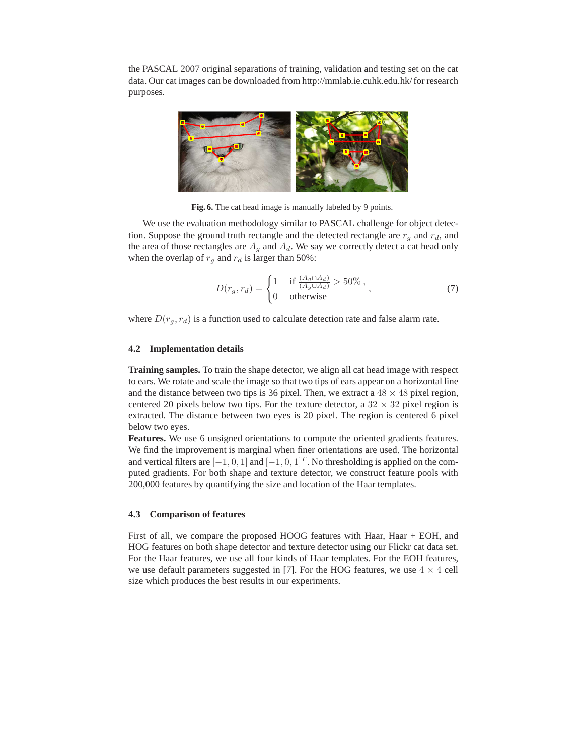the PASCAL 2007 original separations of training, validation and testing set on the cat data. Our cat images can be downloaded from http://mmlab.ie.cuhk.edu.hk/ for research purposes.



**Fig. 6.** The cat head image is manually labeled by 9 points.

We use the evaluation methodology similar to PASCAL challenge for object detection. Suppose the ground truth rectangle and the detected rectangle are  $r_g$  and  $r_d$ , and the area of those rectangles are  $A_g$  and  $A_d$ . We say we correctly detect a cat head only when the overlap of  $r<sub>g</sub>$  and  $r<sub>d</sub>$  is larger than 50%:

$$
D(r_g, r_d) = \begin{cases} 1 & \text{if } \frac{(A_g \cap A_d)}{(A_g \cup A_d)} > 50\% \,, \\ 0 & \text{otherwise} \end{cases}
$$
 (7)

where  $D(r_q, r_d)$  is a function used to calculate detection rate and false alarm rate.

#### **4.2 Implementation details**

**Training samples.** To train the shape detector, we align all cat head image with respect to ears. We rotate and scale the image so that two tips of ears appear on a horizontal line and the distance between two tips is 36 pixel. Then, we extract a  $48 \times 48$  pixel region, centered 20 pixels below two tips. For the texture detector, a  $32 \times 32$  pixel region is extracted. The distance between two eyes is 20 pixel. The region is centered 6 pixel below two eyes.

**Features.** We use 6 unsigned orientations to compute the oriented gradients features. We find the improvement is marginal when finer orientations are used. The horizontal and vertical filters are  $[-1, 0, 1]$  and  $[-1, 0, 1]^T$ . No thresholding is applied on the computed gradients. For both shape and texture detector, we construct feature pools with 200,000 features by quantifying the size and location of the Haar templates.

## **4.3 Comparison of features**

First of all, we compare the proposed HOOG features with Haar, Haar + EOH, and HOG features on both shape detector and texture detector using our Flickr cat data set. For the Haar features, we use all four kinds of Haar templates. For the EOH features, we use default parameters suggested in [7]. For the HOG features, we use  $4 \times 4$  cell size which produces the best results in our experiments.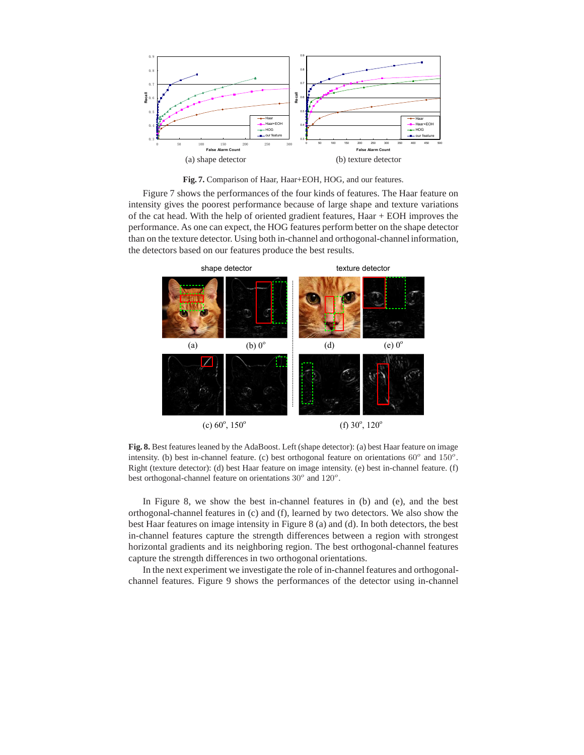

**Fig. 7.** Comparison of Haar, Haar+EOH, HOG, and our features.

Figure 7 shows the performances of the four kinds of features. The Haar feature on intensity gives the poorest performance because of large shape and texture variations of the cat head. With the help of oriented gradient features, Haar + EOH improves the performance. As one can expect, the HOG features perform better on the shape detector than on the texture detector. Using both in-channel and orthogonal-channel information, the detectors based on our features produce the best results.



**Fig. 8.** Best features leaned by the AdaBoost. Left (shape detector): (a) best Haar feature on image intensity. (b) best in-channel feature. (c) best orthogonal feature on orientations  $60^{\circ}$  and  $150^{\circ}$ . Right (texture detector): (d) best Haar feature on image intensity. (e) best in-channel feature. (f) best orthogonal-channel feature on orientations  $30^{\circ}$  and  $120^{\circ}$ .

In Figure 8, we show the best in-channel features in (b) and (e), and the best orthogonal-channel features in (c) and (f), learned by two detectors. We also show the best Haar features on image intensity in Figure 8 (a) and (d). In both detectors, the best in-channel features capture the strength differences between a region with strongest horizontal gradients and its neighboring region. The best orthogonal-channel features capture the strength differences in two orthogonal orientations.

In the next experiment we investigate the role of in-channel features and orthogonalchannel features. Figure 9 shows the performances of the detector using in-channel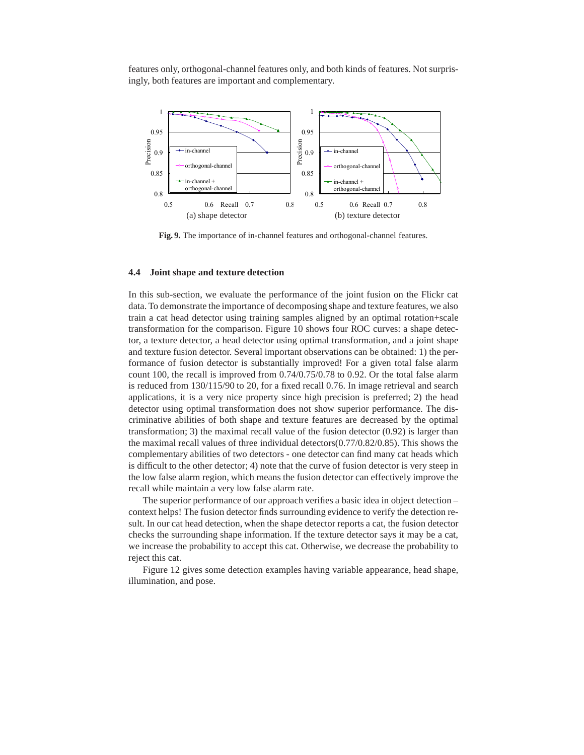features only, orthogonal-channel features only, and both kinds of features. Not surprisingly, both features are important and complementary.



**Fig. 9.** The importance of in-channel features and orthogonal-channel features.

## **4.4 Joint shape and texture detection**

In this sub-section, we evaluate the performance of the joint fusion on the Flickr cat data. To demonstrate the importance of decomposing shape and texture features, we also train a cat head detector using training samples aligned by an optimal rotation+scale transformation for the comparison. Figure 10 shows four ROC curves: a shape detector, a texture detector, a head detector using optimal transformation, and a joint shape and texture fusion detector. Several important observations can be obtained: 1) the performance of fusion detector is substantially improved! For a given total false alarm count 100, the recall is improved from 0.74/0.75/0.78 to 0.92. Or the total false alarm is reduced from 130/115/90 to 20, for a fixed recall 0.76. In image retrieval and search applications, it is a very nice property since high precision is preferred; 2) the head detector using optimal transformation does not show superior performance. The discriminative abilities of both shape and texture features are decreased by the optimal transformation; 3) the maximal recall value of the fusion detector (0.92) is larger than the maximal recall values of three individual detectors(0.77/0.82/0.85). This shows the complementary abilities of two detectors - one detector can find many cat heads which is difficult to the other detector; 4) note that the curve of fusion detector is very steep in the low false alarm region, which means the fusion detector can effectively improve the recall while maintain a very low false alarm rate.

The superior performance of our approach verifies a basic idea in object detection – context helps! The fusion detector finds surrounding evidence to verify the detection result. In our cat head detection, when the shape detector reports a cat, the fusion detector checks the surrounding shape information. If the texture detector says it may be a cat, we increase the probability to accept this cat. Otherwise, we decrease the probability to reject this cat.

Figure 12 gives some detection examples having variable appearance, head shape, illumination, and pose.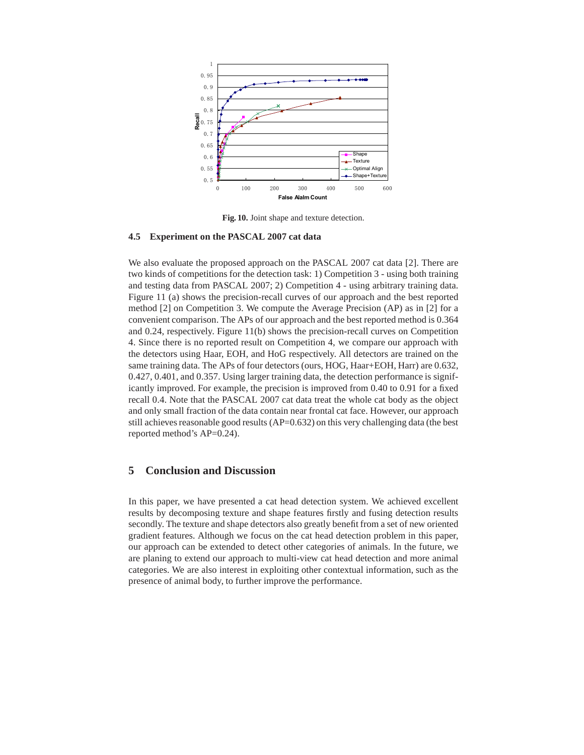

**Fig. 10.** Joint shape and texture detection.

## **4.5 Experiment on the PASCAL 2007 cat data**

We also evaluate the proposed approach on the PASCAL 2007 cat data [2]. There are two kinds of competitions for the detection task: 1) Competition 3 - using both training and testing data from PASCAL 2007; 2) Competition 4 - using arbitrary training data. Figure 11 (a) shows the precision-recall curves of our approach and the best reported method [2] on Competition 3. We compute the Average Precision (AP) as in [2] for a convenient comparison. The APs of our approach and the best reported method is 0.364 and 0.24, respectively. Figure 11(b) shows the precision-recall curves on Competition 4. Since there is no reported result on Competition 4, we compare our approach with the detectors using Haar, EOH, and HoG respectively. All detectors are trained on the same training data. The APs of four detectors (ours, HOG, Haar+EOH, Harr) are 0.632, 0.427, 0.401, and 0.357. Using larger training data, the detection performance is significantly improved. For example, the precision is improved from 0.40 to 0.91 for a fixed recall 0.4. Note that the PASCAL 2007 cat data treat the whole cat body as the object and only small fraction of the data contain near frontal cat face. However, our approach still achieves reasonable good results  $(AP=0.632)$  on this very challenging data (the best reported method's AP=0.24).

# **5 Conclusion and Discussion**

In this paper, we have presented a cat head detection system. We achieved excellent results by decomposing texture and shape features firstly and fusing detection results secondly. The texture and shape detectors also greatly benefit from a set of new oriented gradient features. Although we focus on the cat head detection problem in this paper, our approach can be extended to detect other categories of animals. In the future, we are planing to extend our approach to multi-view cat head detection and more animal categories. We are also interest in exploiting other contextual information, such as the presence of animal body, to further improve the performance.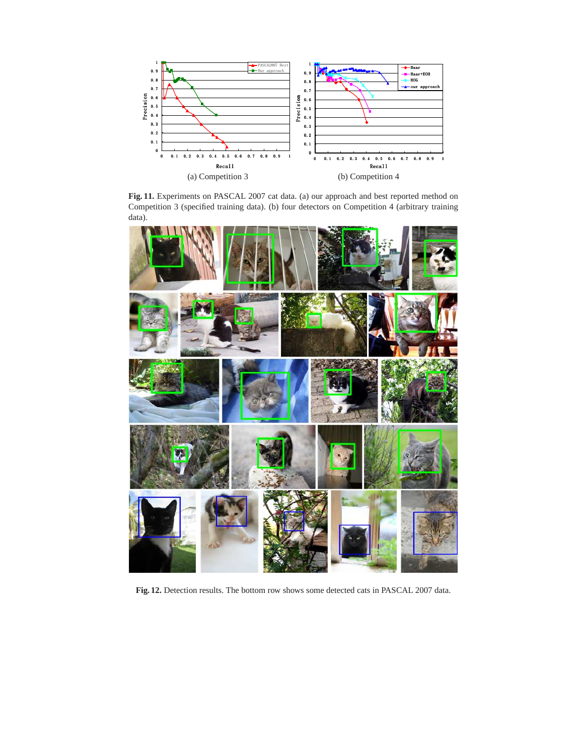

**Fig. 11.** Experiments on PASCAL 2007 cat data. (a) our approach and best reported method on Competition 3 (specified training data). (b) four detectors on Competition 4 (arbitrary training data).



**Fig. 12.** Detection results. The bottom row shows some detected cats in PASCAL 2007 data.